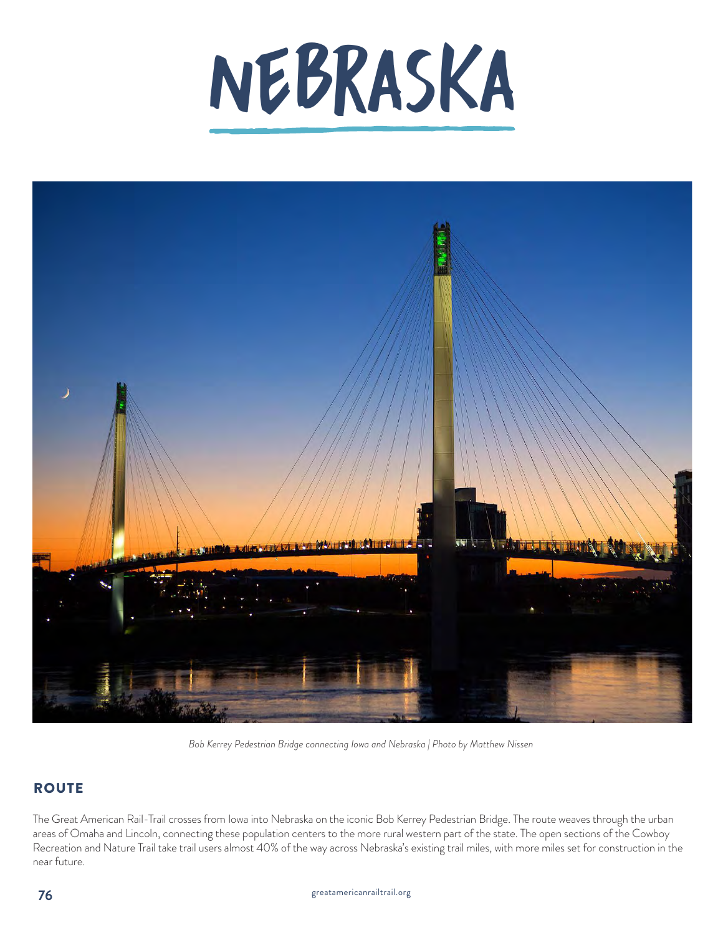



*Bob Kerrey Pedestrian Bridge connecting Iowa and Nebraska | Photo by Matthew Nissen*

## **ROUTE**

The Great American Rail-Trail crosses from Iowa into Nebraska on the iconic Bob Kerrey Pedestrian Bridge. The route weaves through the urban areas of Omaha and Lincoln, connecting these population centers to the more rural western part of the state. The open sections of the Cowboy Recreation and Nature Trail take trail users almost 40% of the way across Nebraska's existing trail miles, with more miles set for construction in the near future.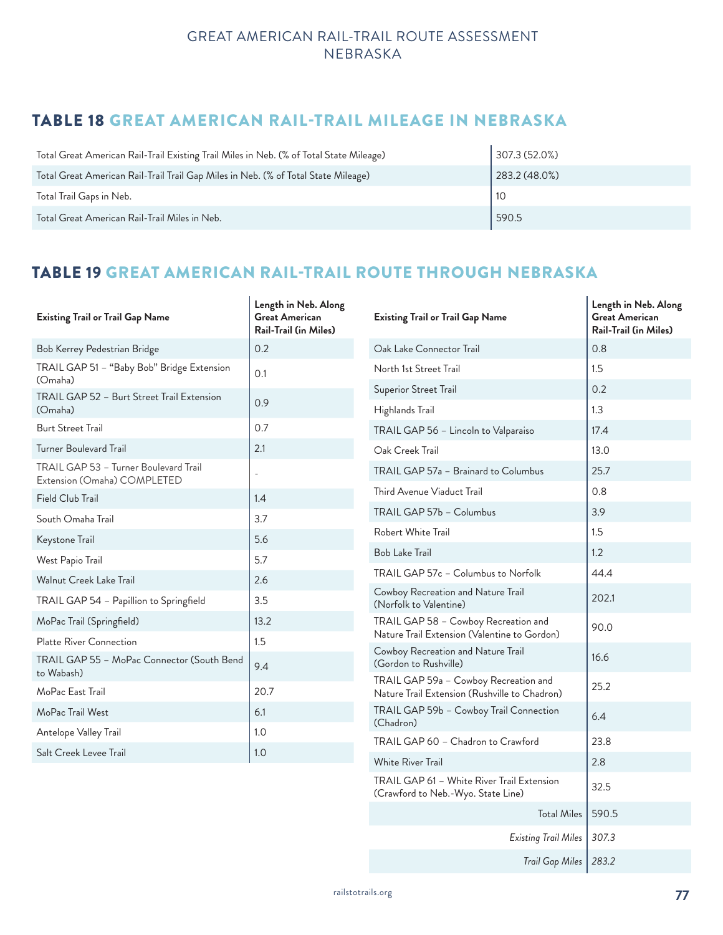## TABLE 18 GREAT AMERICAN RAIL-TRAIL MILEAGE IN NEBRASKA

| Total Great American Rail-Trail Existing Trail Miles in Neb. (% of Total State Mileage) | 307.3(52.0%) |
|-----------------------------------------------------------------------------------------|--------------|
| Total Great American Rail-Trail Trail Gap Miles in Neb. (% of Total State Mileage)      | 283.2(48.0%) |
| Total Trail Gaps in Neb.                                                                | l 10         |
| Total Great American Rail-Trail Miles in Neb.                                           | 590.5        |

## TABLE 19 GREAT AMERICAN RAIL-TRAIL ROUTE THROUGH NEBRASKA

| <b>Existing Trail or Trail Gap Name</b>                              | Length in Neb. Along<br><b>Great American</b><br><b>Rail-Trail (in Miles)</b> | <b>Existing Trail or Trail Gap Name</b>                                                | Length in Neb. Along<br><b>Great American</b><br>Rail-Trail (in Miles) |
|----------------------------------------------------------------------|-------------------------------------------------------------------------------|----------------------------------------------------------------------------------------|------------------------------------------------------------------------|
| Bob Kerrey Pedestrian Bridge                                         | 0.2                                                                           | Oak Lake Connector Trail                                                               | 0.8                                                                    |
| TRAIL GAP 51 - "Baby Bob" Bridge Extension<br>(Omaha)                | 0.1                                                                           | North 1st Street Trail                                                                 | 1.5                                                                    |
| TRAIL GAP 52 - Burt Street Trail Extension                           | 0.9                                                                           | Superior Street Trail                                                                  | 0.2                                                                    |
| (Omaha)                                                              |                                                                               | Highlands Trail                                                                        | 1.3                                                                    |
| <b>Burt Street Trail</b>                                             | 0.7                                                                           | TRAIL GAP 56 - Lincoln to Valparaiso                                                   | 17.4                                                                   |
| <b>Turner Boulevard Trail</b>                                        | 2.1                                                                           | Oak Creek Trail                                                                        | 13.0                                                                   |
| TRAIL GAP 53 - Turner Boulevard Trail<br>Extension (Omaha) COMPLETED |                                                                               | TRAIL GAP 57a - Brainard to Columbus                                                   | 25.7                                                                   |
| Field Club Trail                                                     | 1.4                                                                           | Third Avenue Viaduct Trail                                                             | 0.8                                                                    |
| South Omaha Trail                                                    | 3.7                                                                           | TRAIL GAP 57b - Columbus                                                               | 3.9                                                                    |
| Keystone Trail                                                       | 5.6                                                                           | Robert White Trail                                                                     | 1.5                                                                    |
| West Papio Trail                                                     | 5.7                                                                           | <b>Bob Lake Trail</b>                                                                  | 1.2                                                                    |
| <b>Walnut Creek Lake Trail</b>                                       | 2.6                                                                           | TRAIL GAP 57c - Columbus to Norfolk                                                    | 44.4                                                                   |
| TRAIL GAP 54 - Papillion to Springfield                              | 3.5                                                                           | Cowboy Recreation and Nature Trail<br>(Norfolk to Valentine)                           | 202.1                                                                  |
| MoPac Trail (Springfield)                                            | 13.2                                                                          | TRAIL GAP 58 - Cowboy Recreation and                                                   | 90.0                                                                   |
| Platte River Connection                                              | 1.5                                                                           | Nature Trail Extension (Valentine to Gordon)                                           |                                                                        |
| TRAIL GAP 55 - MoPac Connector (South Bend<br>to Wabash)             | 9.4                                                                           | Cowboy Recreation and Nature Trail<br>(Gordon to Rushville)                            | 16.6                                                                   |
| MoPac East Trail                                                     | 20.7                                                                          | TRAIL GAP 59a - Cowboy Recreation and<br>Nature Trail Extension (Rushville to Chadron) | 25.2                                                                   |
| MoPac Trail West                                                     | 6.1                                                                           | TRAIL GAP 59b - Cowboy Trail Connection                                                | 6.4                                                                    |
| Antelope Valley Trail                                                | 1.0                                                                           | (Chadron)<br>TRAIL GAP 60 - Chadron to Crawford                                        | 23.8                                                                   |
| Salt Creek Levee Trail                                               | 1.0                                                                           |                                                                                        |                                                                        |
|                                                                      |                                                                               | White River Trail                                                                      | 2.8                                                                    |
|                                                                      |                                                                               | TRAIL GAP 61 - White River Trail Extension<br>(Crawford to Neb.-Wyo. State Line)       | 32.5                                                                   |
|                                                                      |                                                                               | Total Miles   590.5                                                                    |                                                                        |

*Existing Trail Miles 307.3*

*Trail Gap Miles 283.2*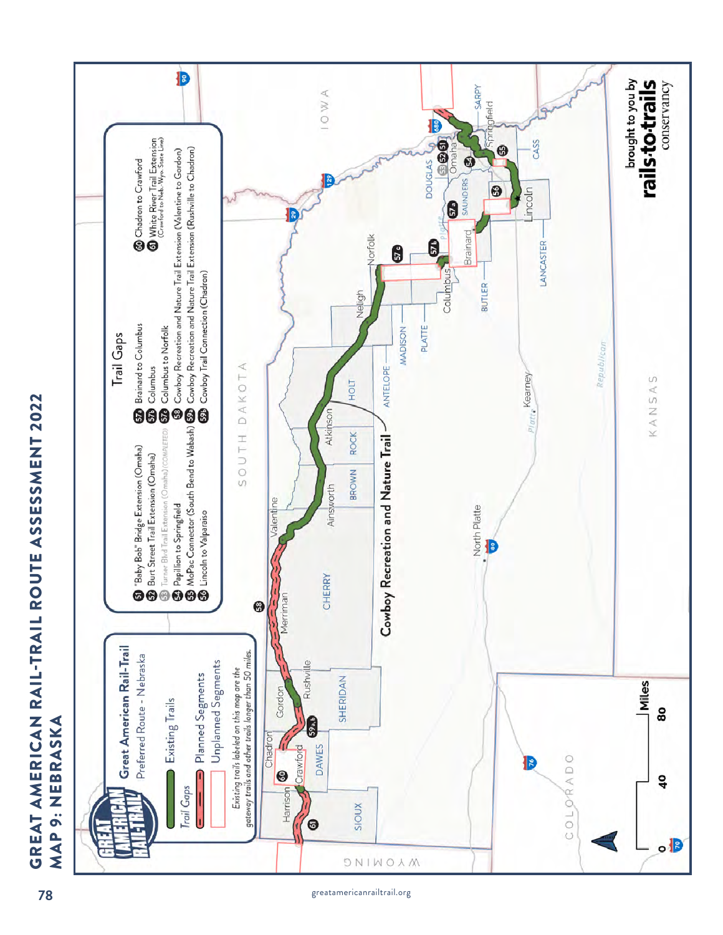

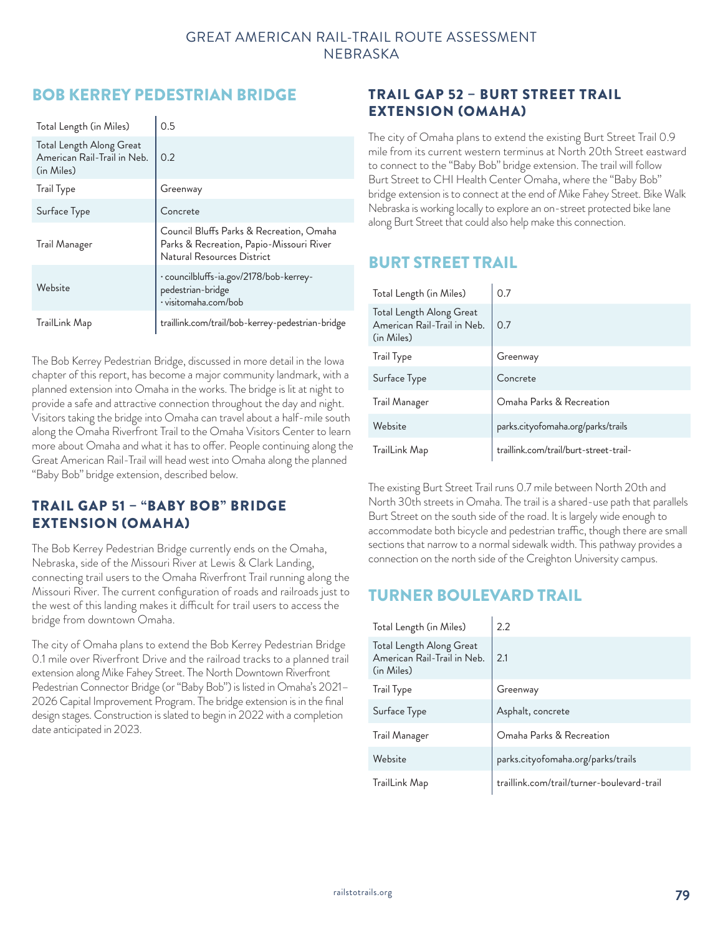## BOB KERREY PEDESTRIAN BRIDGE

| Total Length (in Miles)                                               | 0.5                                                                                                                |
|-----------------------------------------------------------------------|--------------------------------------------------------------------------------------------------------------------|
| Total Length Along Great<br>American Rail-Trail in Neb.<br>(in Miles) | 0.2                                                                                                                |
| <b>Trail Type</b>                                                     | Greenway                                                                                                           |
| Surface Type                                                          | Concrete                                                                                                           |
| Trail Manager                                                         | Council Bluffs Parks & Recreation, Omaha<br>Parks & Recreation, Papio-Missouri River<br>Natural Resources District |
| Website                                                               | · councilbluffs-ia.gov/2178/bob-kerrey-<br>pedestrian-bridge<br>· visitomaha.com/bob                               |
| TrailLink Map                                                         | traillink.com/trail/bob-kerrey-pedestrian-bridge                                                                   |

The Bob Kerrey Pedestrian Bridge, discussed in more detail in the Iowa chapter of this report, has become a major community landmark, with a planned extension into Omaha in the works. The bridge is lit at night to provide a safe and attractive connection throughout the day and night. Visitors taking the bridge into Omaha can travel about a half-mile south along the Omaha Riverfront Trail to the Omaha Visitors Center to learn more about Omaha and what it has to offer. People continuing along the Great American Rail-Trail will head west into Omaha along the planned "Baby Bob" bridge extension, described below.

### TRAIL GAP 51 – "BABY BOB" BRIDGE EXTENSION (OMAHA)

The Bob Kerrey Pedestrian Bridge currently ends on the Omaha, Nebraska, side of the Missouri River at Lewis & Clark Landing, connecting trail users to the Omaha Riverfront Trail running along the Missouri River. The current configuration of roads and railroads just to the west of this landing makes it difficult for trail users to access the bridge from downtown Omaha.

The city of Omaha plans to extend the Bob Kerrey Pedestrian Bridge 0.1 mile over Riverfront Drive and the railroad tracks to a planned trail extension along Mike Fahey Street. The North Downtown Riverfront Pedestrian Connector Bridge (or "Baby Bob") is listed in Omaha's 2021– 2026 Capital Improvement Program. The bridge extension is in the final design stages. Construction is slated to begin in 2022 with a completion date anticipated in 2023.

### TRAIL GAP 52 – BURT STREET TRAIL EXTENSION (OMAHA)

The city of Omaha plans to extend the existing Burt Street Trail 0.9 mile from its current western terminus at North 20th Street eastward to connect to the "Baby Bob" bridge extension. The trail will follow Burt Street to CHI Health Center Omaha, where the "Baby Bob" bridge extension is to connect at the end of Mike Fahey Street. Bike Walk Nebraska is working locally to explore an on-street protected bike lane along Burt Street that could also help make this connection.

## BURT STREET TRAIL

| Total Length (in Miles)                                               | 0.7                                    |
|-----------------------------------------------------------------------|----------------------------------------|
| Total Length Along Great<br>American Rail-Trail in Neb.<br>(in Miles) | 0.7                                    |
| <b>Trail Type</b>                                                     | Greenway                               |
| Surface Type                                                          | Concrete                               |
| Trail Manager                                                         | Omaha Parks & Recreation               |
| Website                                                               | parks.cityofomaha.org/parks/trails     |
| TrailLink Map                                                         | traillink.com/trail/burt-street-trail- |

The existing Burt Street Trail runs 0.7 mile between North 20th and North 30th streets in Omaha. The trail is a shared-use path that parallels Burt Street on the south side of the road. It is largely wide enough to accommodate both bicycle and pedestrian traffic, though there are small sections that narrow to a normal sidewalk width. This pathway provides a connection on the north side of the Creighton University campus.

# TURNER BOULEVARD TRAIL

| Total Length (in Miles)                                               | 2.2                                        |
|-----------------------------------------------------------------------|--------------------------------------------|
| Total Length Along Great<br>American Rail-Trail in Neb.<br>(in Miles) | 2.1                                        |
| <b>Trail Type</b>                                                     | Greenway                                   |
| Surface Type                                                          | Asphalt, concrete                          |
| Trail Manager                                                         | Omaha Parks & Recreation                   |
| Website                                                               | parks.cityofomaha.org/parks/trails         |
| TrailLink Map                                                         | traillink.com/trail/turner-boulevard-trail |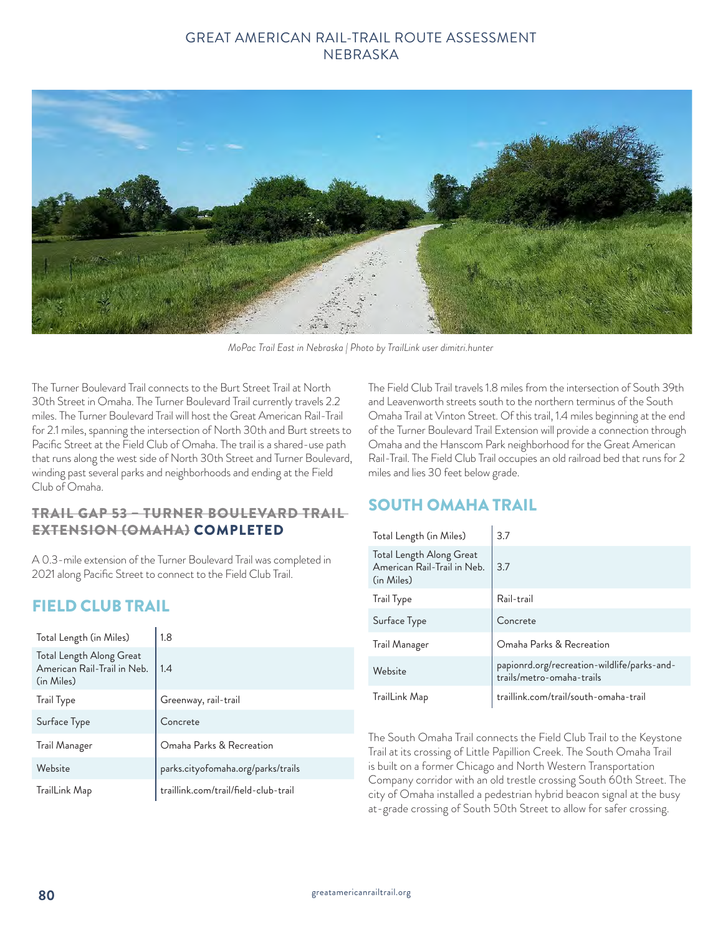

*MoPac Trail East in Nebraska | Photo by TrailLink user dimitri.hunter*

The Turner Boulevard Trail connects to the Burt Street Trail at North 30th Street in Omaha. The Turner Boulevard Trail currently travels 2.2 miles. The Turner Boulevard Trail will host the Great American Rail-Trail for 2.1 miles, spanning the intersection of North 30th and Burt streets to Pacific Street at the Field Club of Omaha. The trail is a shared-use path that runs along the west side of North 30th Street and Turner Boulevard, winding past several parks and neighborhoods and ending at the Field Club of Omaha.

### TRAIL GAP 53 – TURNER BOULEVARD TRAIL EXTENSION (OMAHA) COMPLETED

A 0.3-mile extension of the Turner Boulevard Trail was completed in 2021 along Pacific Street to connect to the Field Club Trail.

# FIELD CLUB TRAIL

| Total Length (in Miles)                                               | 1.8                                  |
|-----------------------------------------------------------------------|--------------------------------------|
| Total Length Along Great<br>American Rail-Trail in Neb.<br>(in Miles) | 1.4                                  |
| <b>Trail Type</b>                                                     | Greenway, rail-trail                 |
| Surface Type                                                          | Concrete                             |
| Trail Manager                                                         | Omaha Parks & Recreation             |
| Website                                                               | parks.cityofomaha.org/parks/trails   |
| TrailLink Map                                                         | traillink.com/trail/field-club-trail |

The Field Club Trail travels 1.8 miles from the intersection of South 39th and Leavenworth streets south to the northern terminus of the South Omaha Trail at Vinton Street. Of this trail, 1.4 miles beginning at the end of the Turner Boulevard Trail Extension will provide a connection through Omaha and the Hanscom Park neighborhood for the Great American Rail-Trail. The Field Club Trail occupies an old railroad bed that runs for 2 miles and lies 30 feet below grade.

## SOUTH OMAHA TRAIL

| Total Length (in Miles)                                               | 3.7                                                                      |
|-----------------------------------------------------------------------|--------------------------------------------------------------------------|
| Total Length Along Great<br>American Rail-Trail in Neb.<br>(in Miles) | 3.7                                                                      |
| <b>Trail Type</b>                                                     | Rail-trail                                                               |
| Surface Type                                                          | Concrete                                                                 |
| Trail Manager                                                         | Omaha Parks & Recreation                                                 |
| Website                                                               | papionrd.org/recreation-wildlife/parks-and-<br>trails/metro-omaha-trails |
| TrailLink Map                                                         | traillink.com/trail/south-omaha-trail                                    |

The South Omaha Trail connects the Field Club Trail to the Keystone Trail at its crossing of Little Papillion Creek. The South Omaha Trail is built on a former Chicago and North Western Transportation Company corridor with an old trestle crossing South 60th Street. The city of Omaha installed a pedestrian hybrid beacon signal at the busy at-grade crossing of South 50th Street to allow for safer crossing.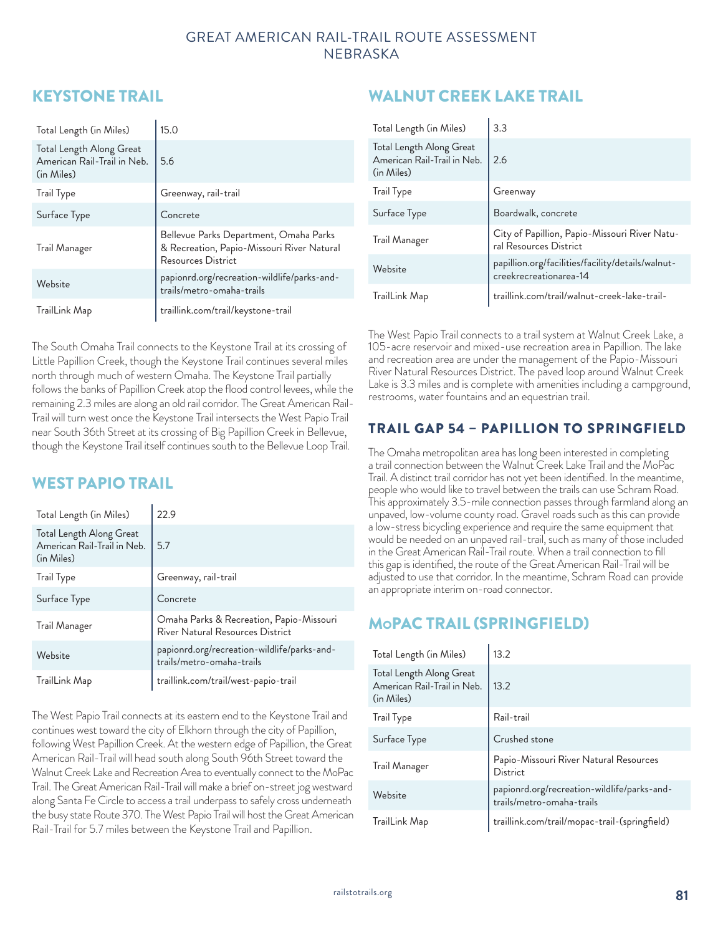## KEYSTONE TRAIL

| Total Length (in Miles)                                               | 15.0                                                                                                       |
|-----------------------------------------------------------------------|------------------------------------------------------------------------------------------------------------|
| Total Length Along Great<br>American Rail-Trail in Neb.<br>(in Miles) | 5.6                                                                                                        |
| Trail Type                                                            | Greenway, rail-trail                                                                                       |
| Surface Type                                                          | Concrete                                                                                                   |
| Trail Manager                                                         | Bellevue Parks Department, Omaha Parks<br>& Recreation, Papio-Missouri River Natural<br>Resources District |
| Website                                                               | papionrd.org/recreation-wildlife/parks-and-<br>trails/metro-omaha-trails                                   |
| TrailLink Map                                                         | traillink.com/trail/keystone-trail                                                                         |

The South Omaha Trail connects to the Keystone Trail at its crossing of Little Papillion Creek, though the Keystone Trail continues several miles north through much of western Omaha. The Keystone Trail partially follows the banks of Papillion Creek atop the flood control levees, while the remaining 2.3 miles are along an old rail corridor. The Great American Rail-Trail will turn west once the Keystone Trail intersects the West Papio Trail near South 36th Street at its crossing of Big Papillion Creek in Bellevue, though the Keystone Trail itself continues south to the Bellevue Loop Trail.

## WEST PAPIO TRAIL

| Total Length (in Miles)                                               | 22.9                                                                         |
|-----------------------------------------------------------------------|------------------------------------------------------------------------------|
| Total Length Along Great<br>American Rail-Trail in Neb.<br>(in Miles) | 5.7                                                                          |
| <b>Trail Type</b>                                                     | Greenway, rail-trail                                                         |
| Surface Type                                                          | Concrete                                                                     |
| Trail Manager                                                         | Omaha Parks & Recreation, Papio-Missouri<br>River Natural Resources District |
| Website                                                               | papionrd.org/recreation-wildlife/parks-and-<br>trails/metro-omaha-trails     |
| TrailLink Map                                                         | traillink.com/trail/west-papio-trail                                         |

The West Papio Trail connects at its eastern end to the Keystone Trail and continues west toward the city of Elkhorn through the city of Papillion, following West Papillion Creek. At the western edge of Papillion, the Great American Rail-Trail will head south along South 96th Street toward the Walnut Creek Lake and Recreation Area to eventually connect to the MoPac Trail. The Great American Rail-Trail will make a brief on-street jog westward along Santa Fe Circle to access a trail underpass to safely cross underneath the busy state Route 370. The West Papio Trail will host the Great American Rail-Trail for 5.7 miles between the Keystone Trail and Papillion.

# WALNUT CREEK LAKE TRAIL

| Total Length (in Miles)                                               | 3.3                                                                         |
|-----------------------------------------------------------------------|-----------------------------------------------------------------------------|
| Total Length Along Great<br>American Rail-Trail in Neb.<br>(in Miles) | 2.6                                                                         |
| Trail Type                                                            | Greenway                                                                    |
| Surface Type                                                          | Boardwalk, concrete                                                         |
| Trail Manager                                                         | City of Papillion, Papio-Missouri River Natu-<br>ral Resources District     |
| Website                                                               | papillion.org/facilities/facility/details/walnut-<br>creekrecreationarea-14 |
| TrailLink Map                                                         | traillink.com/trail/walnut-creek-lake-trail-                                |

The West Papio Trail connects to a trail system at Walnut Creek Lake, a 105-acre reservoir and mixed-use recreation area in Papillion. The lake and recreation area are under the management of the Papio-Missouri River Natural Resources District. The paved loop around Walnut Creek Lake is 3.3 miles and is complete with amenities including a campground, restrooms, water fountains and an equestrian trail.

## TRAIL GAP 54 – PAPILLION TO SPRINGFIELD

The Omaha metropolitan area has long been interested in completing a trail connection between the Walnut Creek Lake Trail and the MoPac Trail. A distinct trail corridor has not yet been identified. In the meantime, people who would like to travel between the trails can use Schram Road. This approximately 3.5-mile connection passes through farmland along an unpaved, low-volume county road. Gravel roads such as this can provide a low-stress bicycling experience and require the same equipment that would be needed on an unpaved rail-trail, such as many of those included in the Great American Rail-Trail route. When a trail connection to fill this gap is identified, the route of the Great American Rail-Trail will be adjusted to use that corridor. In the meantime, Schram Road can provide an appropriate interim on-road connector.

# MoPAC TRAIL (SPRINGFIELD)

| Total Length (in Miles)                                               | 13.2                                                                     |
|-----------------------------------------------------------------------|--------------------------------------------------------------------------|
| Total Length Along Great<br>American Rail-Trail in Neb.<br>(in Miles) | 13.2                                                                     |
| <b>Trail Type</b>                                                     | Rail-trail                                                               |
| Surface Type                                                          | Crushed stone                                                            |
| Trail Manager                                                         | Papio-Missouri River Natural Resources<br>District                       |
| Website                                                               | papionrd.org/recreation-wildlife/parks-and-<br>trails/metro-omaha-trails |
| TrailLink Map                                                         | traillink.com/trail/mopac-trail-(springfield)                            |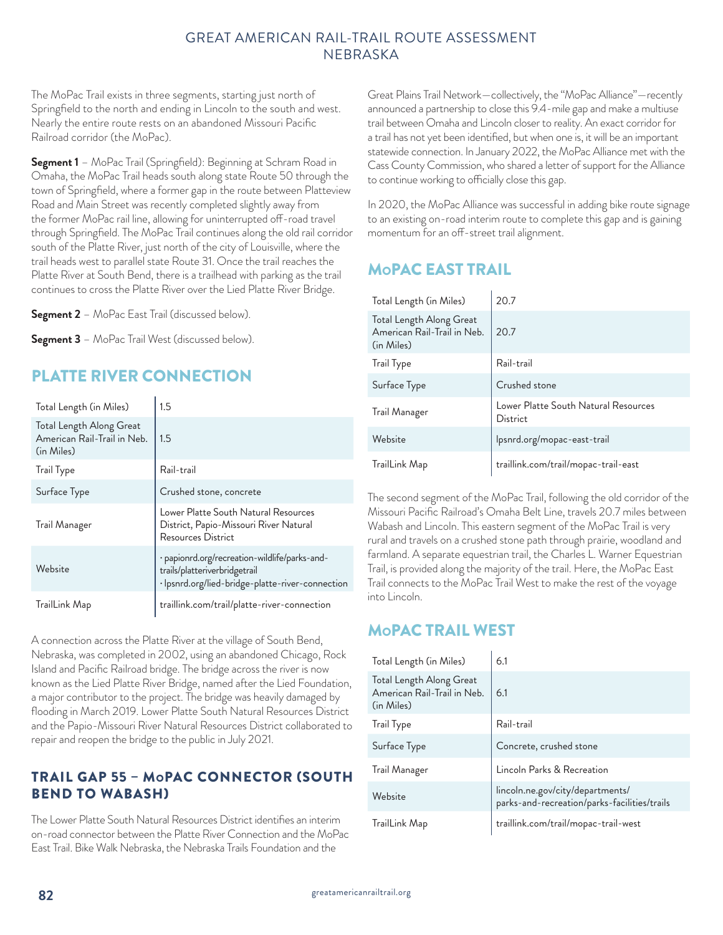The MoPac Trail exists in three segments, starting just north of Springfield to the north and ending in Lincoln to the south and west. Nearly the entire route rests on an abandoned Missouri Pacific Railroad corridor (the MoPac).

**Segment 1** – MoPac Trail (Springfield): Beginning at Schram Road in Omaha, the MoPac Trail heads south along state Route 50 through the town of Springfield, where a former gap in the route between Platteview Road and Main Street was recently completed slightly away from the former MoPac rail line, allowing for uninterrupted off-road travel through Springfield. The MoPac Trail continues along the old rail corridor south of the Platte River, just north of the city of Louisville, where the trail heads west to parallel state Route 31. Once the trail reaches the Platte River at South Bend, there is a trailhead with parking as the trail continues to cross the Platte River over the Lied Platte River Bridge.

**Segment 2** – MoPac East Trail (discussed below).

**Segment 3** – MoPac Trail West (discussed below).

# PLATTE RIVER CONNECTION

| Total Length (in Miles)                                               | 1.5                                                                                                                                |
|-----------------------------------------------------------------------|------------------------------------------------------------------------------------------------------------------------------------|
| Total Length Along Great<br>American Rail-Trail in Neb.<br>(in Miles) | 1.5                                                                                                                                |
| <b>Trail Type</b>                                                     | Rail-trail                                                                                                                         |
| Surface Type                                                          | Crushed stone, concrete                                                                                                            |
| Trail Manager                                                         | Lower Platte South Natural Resources<br>District, Papio-Missouri River Natural<br>Resources District                               |
| Website                                                               | · papionrd.org/recreation-wildlife/parks-and-<br>trails/platteriverbridgetrail<br>· Ipsnrd.org/lied-bridge-platte-river-connection |
| TrailLink Map                                                         | traillink.com/trail/platte-river-connection                                                                                        |

A connection across the Platte River at the village of South Bend, Nebraska, was completed in 2002, using an abandoned Chicago, Rock Island and Pacific Railroad bridge. The bridge across the river is now known as the Lied Platte River Bridge, named after the Lied Foundation, a major contributor to the project. The bridge was heavily damaged by flooding in March 2019. Lower Platte South Natural Resources District and the Papio-Missouri River Natural Resources District collaborated to repair and reopen the bridge to the public in July 2021.

### TRAIL GAP 55 – MoPAC CONNECTOR (SOUTH BEND TO WABASH)

The Lower Platte South Natural Resources District identifies an interim on-road connector between the Platte River Connection and the MoPac East Trail. Bike Walk Nebraska, the Nebraska Trails Foundation and the

Great Plains Trail Network—collectively, the "MoPac Alliance"—recently announced a partnership to close this 9.4-mile gap and make a multiuse trail between Omaha and Lincoln closer to reality. An exact corridor for a trail has not yet been identified, but when one is, it will be an important statewide connection. In January 2022, the MoPac Alliance met with the Cass County Commission, who shared a letter of support for the Alliance to continue working to officially close this gap.

In 2020, the MoPac Alliance was successful in adding bike route signage to an existing on-road interim route to complete this gap and is gaining momentum for an off-street trail alignment.

## MoPAC EAST TRAIL

| Total Length (in Miles)                                               | 20.7                                             |
|-----------------------------------------------------------------------|--------------------------------------------------|
| Total Length Along Great<br>American Rail-Trail in Neb.<br>(in Miles) | 20.7                                             |
| Trail Type                                                            | Rail-trail                                       |
| Surface Type                                                          | Crushed stone                                    |
| Trail Manager                                                         | Lower Platte South Natural Resources<br>District |
| Website                                                               | Ipsnrd.org/mopac-east-trail                      |
| TrailLink Map                                                         | traillink.com/trail/mopac-trail-east             |

The second segment of the MoPac Trail, following the old corridor of the Missouri Pacific Railroad's Omaha Belt Line, travels 20.7 miles between Wabash and Lincoln. This eastern segment of the MoPac Trail is very rural and travels on a crushed stone path through prairie, woodland and farmland. A separate equestrian trail, the Charles L. Warner Equestrian Trail, is provided along the majority of the trail. Here, the MoPac East Trail connects to the MoPac Trail West to make the rest of the voyage into Lincoln.

## MoPAC TRAIL WEST

| Total Length (in Miles)                                               | 6.1                                                                              |
|-----------------------------------------------------------------------|----------------------------------------------------------------------------------|
| Total Length Along Great<br>American Rail-Trail in Neb.<br>(in Miles) | 6.1                                                                              |
| Trail Type                                                            | Rail-trail                                                                       |
| Surface Type                                                          | Concrete, crushed stone                                                          |
| Trail Manager                                                         | Lincoln Parks & Recreation                                                       |
| Website                                                               | lincoln.ne.gov/city/departments/<br>parks-and-recreation/parks-facilities/trails |
| TrailLink Map                                                         | traillink.com/trail/mopac-trail-west                                             |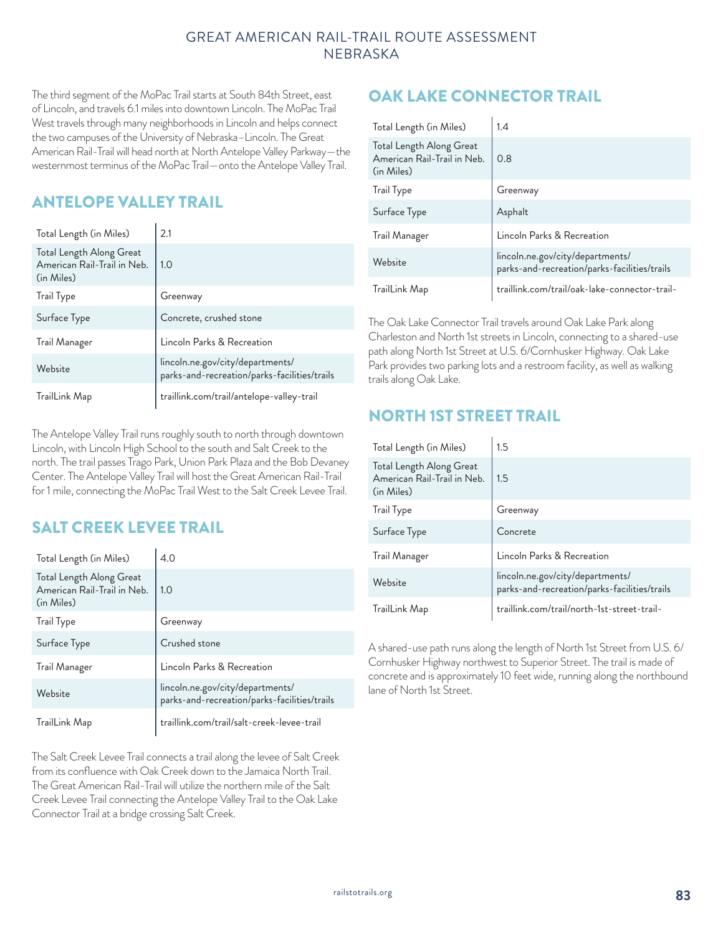The third segment of the MoPac Trail starts at South 84th Street, east of Lincoln, and travels 6.1 miles into downtown Lincoln. The MoPac Trail West travels through many neighborhoods in Lincoln and helps connect the two campuses of the University of Nebraska–Lincoln. The Great American Rail-Trail will head north at North Antelope Valley Parkway—the westernmost terminus of the MoPac Trail—onto the Antelope Valley Trail.

# ANTELOPE VALLEY TRAIL

| Total Length (in Miles)                                               | 2.1                                                                              |
|-----------------------------------------------------------------------|----------------------------------------------------------------------------------|
| Total Length Along Great<br>American Rail-Trail in Neb.<br>(in Miles) | 1.0                                                                              |
| <b>Trail Type</b>                                                     | Greenway                                                                         |
| Surface Type                                                          | Concrete, crushed stone                                                          |
| Trail Manager                                                         | Lincoln Parks & Recreation                                                       |
| Website                                                               | lincoln.ne.gov/city/departments/<br>parks-and-recreation/parks-facilities/trails |
| TrailLink Map                                                         | traillink.com/trail/antelope-valley-trail                                        |

The Antelope Valley Trail runs roughly south to north through downtown Lincoln, with Lincoln High School to the south and Salt Creek to the north. The trail passes Trago Park, Union Park Plaza and the Bob Devaney Center. The Antelope Valley Trail will host the Great American Rail-Trail for 1 mile, connecting the MoPac Trail West to the Salt Creek Levee Trail.

# SALT CREEK LEVEE TRAIL

| Total Length (in Miles)                                               | 4.0                                                                              |
|-----------------------------------------------------------------------|----------------------------------------------------------------------------------|
| Total Length Along Great<br>American Rail-Trail in Neb.<br>(in Miles) | 1.0                                                                              |
| Trail Type                                                            | Greenway                                                                         |
| Surface Type                                                          | Crushed stone                                                                    |
| Trail Manager                                                         | Lincoln Parks & Recreation                                                       |
| Website                                                               | lincoln.ne.gov/city/departments/<br>parks-and-recreation/parks-facilities/trails |
| TrailLink Map                                                         | traillink.com/trail/salt-creek-levee-trail                                       |

The Salt Creek Levee Trail connects a trail along the levee of Salt Creek from its confluence with Oak Creek down to the Jamaica North Trail. The Great American Rail-Trail will utilize the northern mile of the Salt Creek Levee Trail connecting the Antelope Valley Trail to the Oak Lake Connector Trail at a bridge crossing Salt Creek.

# OAK LAKE CONNECTOR TRAIL

| Total Length (in Miles)                                               | 1.4                                                                              |
|-----------------------------------------------------------------------|----------------------------------------------------------------------------------|
| Total Length Along Great<br>American Rail-Trail in Neb.<br>(in Miles) | 0.8                                                                              |
| <b>Trail Type</b>                                                     | Greenway                                                                         |
| Surface Type                                                          | Asphalt                                                                          |
| Trail Manager                                                         | Lincoln Parks & Recreation                                                       |
| Website                                                               | lincoln.ne.gov/city/departments/<br>parks-and-recreation/parks-facilities/trails |
| TrailLink Map                                                         | traillink.com/trail/oak-lake-connector-trail-                                    |

The Oak Lake Connector Trail travels around Oak Lake Park along Charleston and North 1st streets in Lincoln, connecting to a shared-use path along North 1st Street at U.S. 6/Cornhusker Highway. Oak Lake Park provides two parking lots and a restroom facility, as well as walking trails along Oak Lake.

# NORTH 1ST STREET TRAIL

| Total Length (in Miles)                                               | 1.5                                                                              |
|-----------------------------------------------------------------------|----------------------------------------------------------------------------------|
| Total Length Along Great<br>American Rail-Trail in Neb.<br>(in Miles) | 1.5                                                                              |
| <b>Trail Type</b>                                                     | Greenway                                                                         |
| Surface Type                                                          | Concrete                                                                         |
| Trail Manager                                                         | Lincoln Parks & Recreation                                                       |
| Website                                                               | lincoln.ne.gov/city/departments/<br>parks-and-recreation/parks-facilities/trails |
| TrailLink Map                                                         | traillink.com/trail/north-1st-street-trail-                                      |

A shared-use path runs along the length of North 1st Street from U.S. 6/ Cornhusker Highway northwest to Superior Street. The trail is made of concrete and is approximately 10 feet wide, running along the northbound lane of North 1st Street.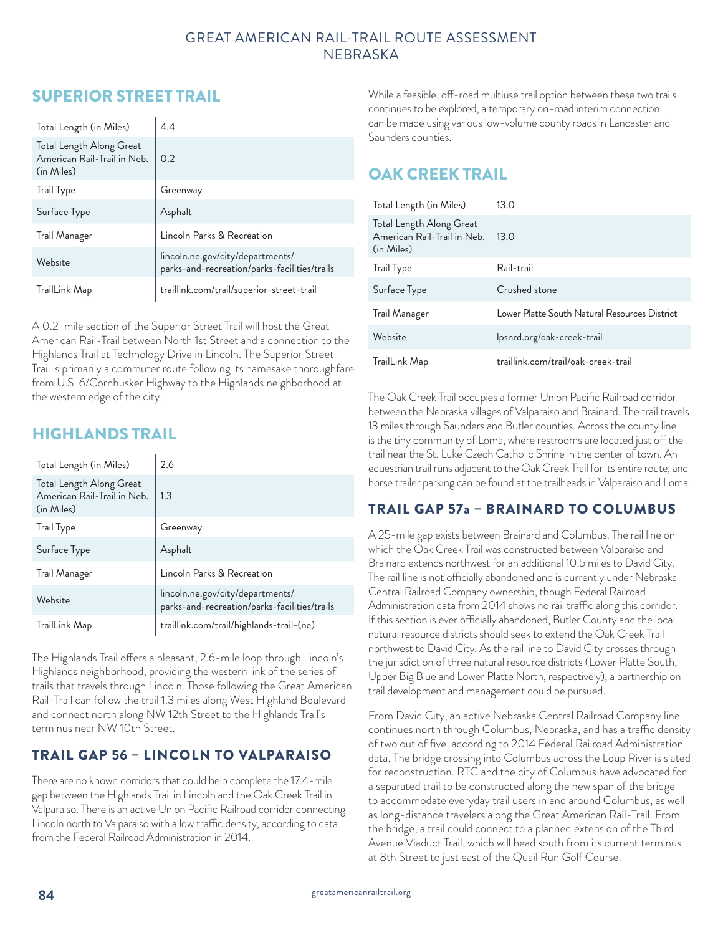# SUPERIOR STREET TRAIL

| Total Length (in Miles)                                               | 4.4                                                                              |
|-----------------------------------------------------------------------|----------------------------------------------------------------------------------|
| Total Length Along Great<br>American Rail-Trail in Neb.<br>(in Miles) | 0.2                                                                              |
| <b>Trail Type</b>                                                     | Greenway                                                                         |
| Surface Type                                                          | Asphalt                                                                          |
| Trail Manager                                                         | Lincoln Parks & Recreation                                                       |
| Website                                                               | lincoln.ne.gov/city/departments/<br>parks-and-recreation/parks-facilities/trails |
| TrailLink Map                                                         | traillink.com/trail/superior-street-trail                                        |

A 0.2-mile section of the Superior Street Trail will host the Great American Rail-Trail between North 1st Street and a connection to the Highlands Trail at Technology Drive in Lincoln. The Superior Street Trail is primarily a commuter route following its namesake thoroughfare from U.S. 6/Cornhusker Highway to the Highlands neighborhood at the western edge of the city.

## HIGHLANDS TRAIL

| Total Length (in Miles)                                               | 2.6                                                                              |
|-----------------------------------------------------------------------|----------------------------------------------------------------------------------|
| Total Length Along Great<br>American Rail-Trail in Neb.<br>(in Miles) | 1.3                                                                              |
| Trail Type                                                            | Greenway                                                                         |
| Surface Type                                                          | Asphalt                                                                          |
| Trail Manager                                                         | Lincoln Parks & Recreation                                                       |
| Website                                                               | lincoln.ne.gov/city/departments/<br>parks-and-recreation/parks-facilities/trails |
| TrailLink Map                                                         | traillink.com/trail/highlands-trail-(ne)                                         |

The Highlands Trail offers a pleasant, 2.6-mile loop through Lincoln's Highlands neighborhood, providing the western link of the series of trails that travels through Lincoln. Those following the Great American Rail-Trail can follow the trail 1.3 miles along West Highland Boulevard and connect north along NW 12th Street to the Highlands Trail's terminus near NW 10th Street.

### TRAIL GAP 56 – LINCOLN TO VALPARAISO

There are no known corridors that could help complete the 17.4-mile gap between the Highlands Trail in Lincoln and the Oak Creek Trail in Valparaiso. There is an active Union Pacific Railroad corridor connecting Lincoln north to Valparaiso with a low traffic density, according to data from the Federal Railroad Administration in 2014.

While a feasible, off-road multiuse trail option between these two trails continues to be explored, a temporary on-road interim connection can be made using various low-volume county roads in Lancaster and Saunders counties.

# OAK CREEK TRAIL

| Total Length (in Miles)                                               | 13.0                                          |
|-----------------------------------------------------------------------|-----------------------------------------------|
| Total Length Along Great<br>American Rail-Trail in Neb.<br>(in Miles) | 13.0                                          |
| <b>Trail Type</b>                                                     | Rail-trail                                    |
| Surface Type                                                          | Crushed stone                                 |
| Trail Manager                                                         | Lower Platte South Natural Resources District |
| Website                                                               | Ipsnrd.org/oak-creek-trail                    |
| TrailLink Map                                                         | traillink.com/trail/oak-creek-trail           |

The Oak Creek Trail occupies a former Union Pacific Railroad corridor between the Nebraska villages of Valparaiso and Brainard. The trail travels 13 miles through Saunders and Butler counties. Across the county line is the tiny community of Loma, where restrooms are located just off the trail near the St. Luke Czech Catholic Shrine in the center of town. An equestrian trail runs adjacent to the Oak Creek Trail for its entire route, and horse trailer parking can be found at the trailheads in Valparaiso and Loma.

## TRAIL GAP 57a – BRAINARD TO COLUMBUS

A 25-mile gap exists between Brainard and Columbus. The rail line on which the Oak Creek Trail was constructed between Valparaiso and Brainard extends northwest for an additional 10.5 miles to David City. The rail line is not officially abandoned and is currently under Nebraska Central Railroad Company ownership, though Federal Railroad Administration data from 2014 shows no rail traffic along this corridor. If this section is ever officially abandoned, Butler County and the local natural resource districts should seek to extend the Oak Creek Trail northwest to David City. As the rail line to David City crosses through the jurisdiction of three natural resource districts (Lower Platte South, Upper Big Blue and Lower Platte North, respectively), a partnership on trail development and management could be pursued.

From David City, an active Nebraska Central Railroad Company line continues north through Columbus, Nebraska, and has a traffic density of two out of five, according to 2014 Federal Railroad Administration data. The bridge crossing into Columbus across the Loup River is slated for reconstruction. RTC and the city of Columbus have advocated for a separated trail to be constructed along the new span of the bridge to accommodate everyday trail users in and around Columbus, as well as long-distance travelers along the Great American Rail-Trail. From the bridge, a trail could connect to a planned extension of the Third Avenue Viaduct Trail, which will head south from its current terminus at 8th Street to just east of the Quail Run Golf Course.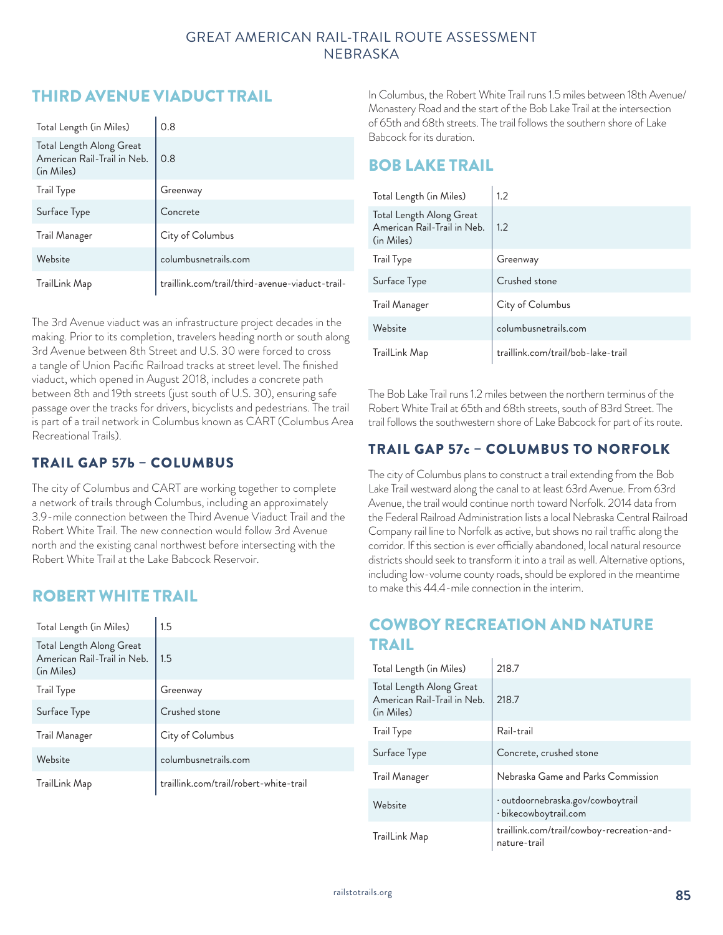# THIRD AVENUE VIADUCT TRAIL

| Total Length (in Miles)                                               | 0.8                                             |
|-----------------------------------------------------------------------|-------------------------------------------------|
| Total Length Along Great<br>American Rail-Trail in Neb.<br>(in Miles) | 0.8                                             |
| Trail Type                                                            | Greenway                                        |
| Surface Type                                                          | Concrete                                        |
| Trail Manager                                                         | City of Columbus                                |
| Website                                                               | columbusnetrails.com                            |
| TrailLink Map                                                         | traillink.com/trail/third-avenue-viaduct-trail- |

The 3rd Avenue viaduct was an infrastructure project decades in the making. Prior to its completion, travelers heading north or south along 3rd Avenue between 8th Street and U.S. 30 were forced to cross a tangle of Union Pacific Railroad tracks at street level. The finished viaduct, which opened in August 2018, includes a concrete path between 8th and 19th streets (just south of U.S. 30), ensuring safe passage over the tracks for drivers, bicyclists and pedestrians. The trail is part of a trail network in Columbus known as CART (Columbus Area Recreational Trails).

### TRAIL GAP 57b – COLUMBUS

The city of Columbus and CART are working together to complete a network of trails through Columbus, including an approximately 3.9-mile connection between the Third Avenue Viaduct Trail and the Robert White Trail. The new connection would follow 3rd Avenue north and the existing canal northwest before intersecting with the Robert White Trail at the Lake Babcock Reservoir.

## ROBERT WHITE TRAIL

| Total Length (in Miles)                                               | 1.5                                    |
|-----------------------------------------------------------------------|----------------------------------------|
| Total Length Along Great<br>American Rail-Trail in Neb.<br>(in Miles) | 1.5                                    |
| Trail Type                                                            | Greenway                               |
| Surface Type                                                          | Crushed stone                          |
| Trail Manager                                                         | City of Columbus                       |
| Website                                                               | columbusnetrails.com                   |
| TrailLink Map                                                         | traillink.com/trail/robert-white-trail |

In Columbus, the Robert White Trail runs 1.5 miles between 18th Avenue/ Monastery Road and the start of the Bob Lake Trail at the intersection of 65th and 68th streets. The trail follows the southern shore of Lake Babcock for its duration.

## BOB LAKE TRAIL

| Total Length (in Miles)                                               | 1.2                                |
|-----------------------------------------------------------------------|------------------------------------|
| Total Length Along Great<br>American Rail-Trail in Neb.<br>(in Miles) | 1.2                                |
| Trail Type                                                            | Greenway                           |
| Surface Type                                                          | Crushed stone                      |
| Trail Manager                                                         | City of Columbus                   |
| Website                                                               | columbusnetrails.com               |
| TrailLink Map                                                         | traillink.com/trail/bob-lake-trail |

The Bob Lake Trail runs 1.2 miles between the northern terminus of the Robert White Trail at 65th and 68th streets, south of 83rd Street. The trail follows the southwestern shore of Lake Babcock for part of its route.

## TRAIL GAP 57c – COLUMBUS TO NORFOLK

The city of Columbus plans to construct a trail extending from the Bob Lake Trail westward along the canal to at least 63rd Avenue. From 63rd Avenue, the trail would continue north toward Norfolk. 2014 data from the Federal Railroad Administration lists a local Nebraska Central Railroad Company rail line to Norfolk as active, but shows no rail traffic along the corridor. If this section is ever officially abandoned, local natural resource districts should seek to transform it into a trail as well. Alternative options, including low-volume county roads, should be explored in the meantime to make this 44.4-mile connection in the interim.

# COWBOY RECREATION AND NATURE TRAIL

| Total Length (in Miles)                                               | 218.7                                                      |
|-----------------------------------------------------------------------|------------------------------------------------------------|
| Total Length Along Great<br>American Rail-Trail in Neb.<br>(in Miles) | 218.7                                                      |
| <b>Trail Type</b>                                                     | Rail-trail                                                 |
| Surface Type                                                          | Concrete, crushed stone                                    |
| Trail Manager                                                         | Nebraska Game and Parks Commission                         |
| Website                                                               | · outdoornebraska.gov/cowboytrail<br>· bikecowboytrail.com |
| TrailLink Map                                                         | traillink.com/trail/cowboy-recreation-and-<br>nature-trail |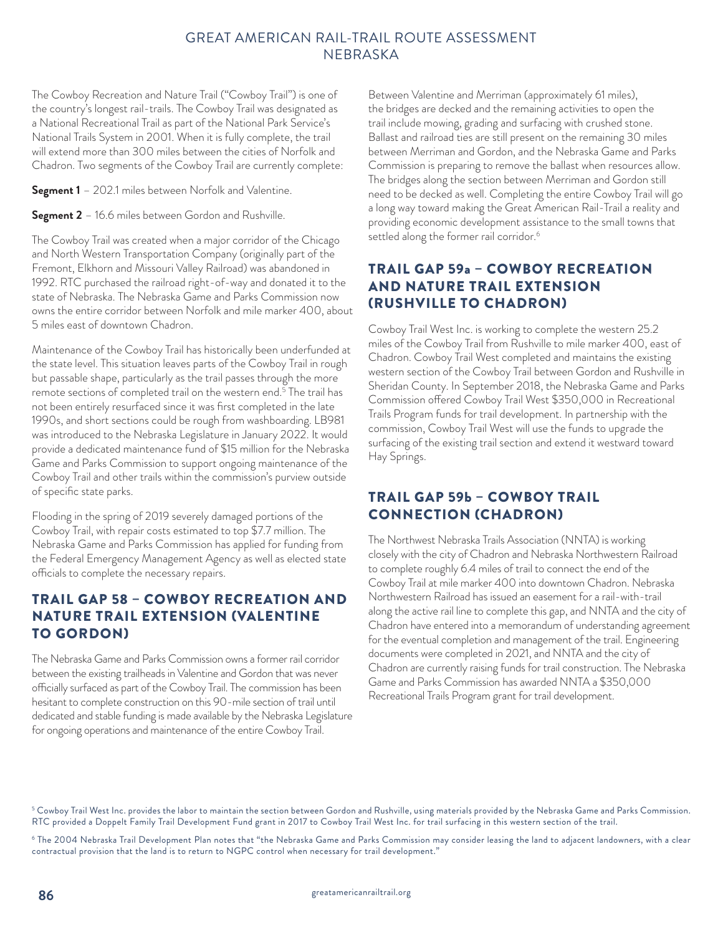The Cowboy Recreation and Nature Trail ("Cowboy Trail") is one of the country's longest rail-trails. The Cowboy Trail was designated as a National Recreational Trail as part of the National Park Service's National Trails System in 2001. When it is fully complete, the trail will extend more than 300 miles between the cities of Norfolk and Chadron. Two segments of the Cowboy Trail are currently complete:

**Segment 1** – 202.1 miles between Norfolk and Valentine.

**Segment 2** – 16.6 miles between Gordon and Rushville.

The Cowboy Trail was created when a major corridor of the Chicago and North Western Transportation Company (originally part of the Fremont, Elkhorn and Missouri Valley Railroad) was abandoned in 1992. RTC purchased the railroad right-of-way and donated it to the state of Nebraska. The Nebraska Game and Parks Commission now owns the entire corridor between Norfolk and mile marker 400, about 5 miles east of downtown Chadron.

Maintenance of the Cowboy Trail has historically been underfunded at the state level. This situation leaves parts of the Cowboy Trail in rough but passable shape, particularly as the trail passes through the more remote sections of completed trail on the western end.<sup>5</sup> The trail has not been entirely resurfaced since it was first completed in the late 1990s, and short sections could be rough from washboarding. LB981 was introduced to the Nebraska Legislature in January 2022. It would provide a dedicated maintenance fund of \$15 million for the Nebraska Game and Parks Commission to support ongoing maintenance of the Cowboy Trail and other trails within the commission's purview outside of specific state parks.

Flooding in the spring of 2019 severely damaged portions of the Cowboy Trail, with repair costs estimated to top \$7.7 million. The Nebraska Game and Parks Commission has applied for funding from the Federal Emergency Management Agency as well as elected state officials to complete the necessary repairs.

#### TRAIL GAP 58 – COWBOY RECREATION AND NATURE TRAIL EXTENSION (VALENTINE TO GORDON)

The Nebraska Game and Parks Commission owns a former rail corridor between the existing trailheads in Valentine and Gordon that was never officially surfaced as part of the Cowboy Trail. The commission has been hesitant to complete construction on this 90-mile section of trail until dedicated and stable funding is made available by the Nebraska Legislature for ongoing operations and maintenance of the entire Cowboy Trail.

Between Valentine and Merriman (approximately 61 miles), the bridges are decked and the remaining activities to open the trail include mowing, grading and surfacing with crushed stone. Ballast and railroad ties are still present on the remaining 30 miles between Merriman and Gordon, and the Nebraska Game and Parks Commission is preparing to remove the ballast when resources allow. The bridges along the section between Merriman and Gordon still need to be decked as well. Completing the entire Cowboy Trail will go a long way toward making the Great American Rail-Trail a reality and providing economic development assistance to the small towns that settled along the former rail corridor.<sup>6</sup>

### TRAIL GAP 59a – COWBOY RECREATION AND NATURE TRAIL EXTENSION (RUSHVILLE TO CHADRON)

Cowboy Trail West Inc. is working to complete the western 25.2 miles of the Cowboy Trail from Rushville to mile marker 400, east of Chadron. Cowboy Trail West completed and maintains the existing western section of the Cowboy Trail between Gordon and Rushville in Sheridan County. In September 2018, the Nebraska Game and Parks Commission offered Cowboy Trail West \$350,000 in Recreational Trails Program funds for trail development. In partnership with the commission, Cowboy Trail West will use the funds to upgrade the surfacing of the existing trail section and extend it westward toward Hay Springs.

### TRAIL GAP 59b – COWBOY TRAIL CONNECTION (CHADRON)

The Northwest Nebraska Trails Association (NNTA) is working closely with the city of Chadron and Nebraska Northwestern Railroad to complete roughly 6.4 miles of trail to connect the end of the Cowboy Trail at mile marker 400 into downtown Chadron. Nebraska Northwestern Railroad has issued an easement for a rail-with-trail along the active rail line to complete this gap, and NNTA and the city of Chadron have entered into a memorandum of understanding agreement for the eventual completion and management of the trail. Engineering documents were completed in 2021, and NNTA and the city of Chadron are currently raising funds for trail construction. The Nebraska Game and Parks Commission has awarded NNTA a \$350,000 Recreational Trails Program grant for trail development.

 $^{\rm 5}$  Cowboy Trail West Inc. provides the labor to maintain the section between Gordon and Rushville, using materials provided by the Nebraska Game and Parks Commission. RTC provided a Doppelt Family Trail Development Fund grant in 2017 to Cowboy Trail West Inc. for trail surfacing in this western section of the trail.

<sup>&</sup>lt;sup>6</sup> The 2004 Nebraska Trail Development Plan notes that "the Nebraska Game and Parks Commission may consider leasing the land to adjacent landowners, with a clear contractual provision that the land is to return to NGPC control when necessary for trail development."